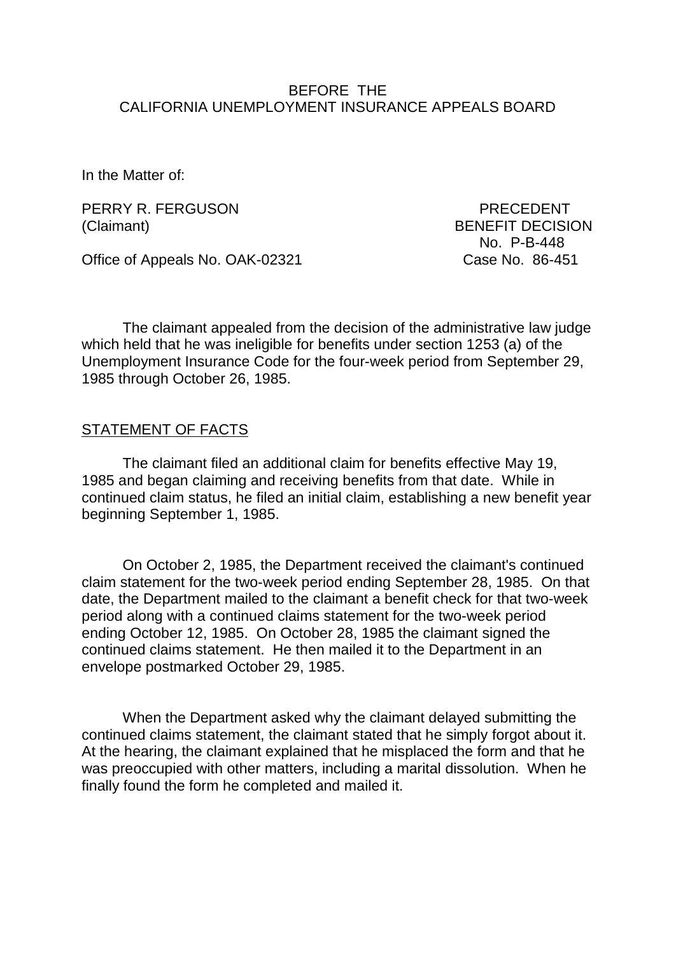### BEFORE THE CALIFORNIA UNEMPLOYMENT INSURANCE APPEALS BOARD

In the Matter of:

PERRY R. FERGUSON PERRY R. PERGUSON (Claimant) BENEFIT DECISION

No. P-B-448

Office of Appeals No. OAK-02321 Case No. 86-451

The claimant appealed from the decision of the administrative law judge which held that he was ineligible for benefits under section 1253 (a) of the Unemployment Insurance Code for the four-week period from September 29, 1985 through October 26, 1985.

### STATEMENT OF FACTS

The claimant filed an additional claim for benefits effective May 19, 1985 and began claiming and receiving benefits from that date. While in continued claim status, he filed an initial claim, establishing a new benefit year beginning September 1, 1985.

On October 2, 1985, the Department received the claimant's continued claim statement for the two-week period ending September 28, 1985. On that date, the Department mailed to the claimant a benefit check for that two-week period along with a continued claims statement for the two-week period ending October 12, 1985. On October 28, 1985 the claimant signed the continued claims statement. He then mailed it to the Department in an envelope postmarked October 29, 1985.

When the Department asked why the claimant delayed submitting the continued claims statement, the claimant stated that he simply forgot about it. At the hearing, the claimant explained that he misplaced the form and that he was preoccupied with other matters, including a marital dissolution. When he finally found the form he completed and mailed it.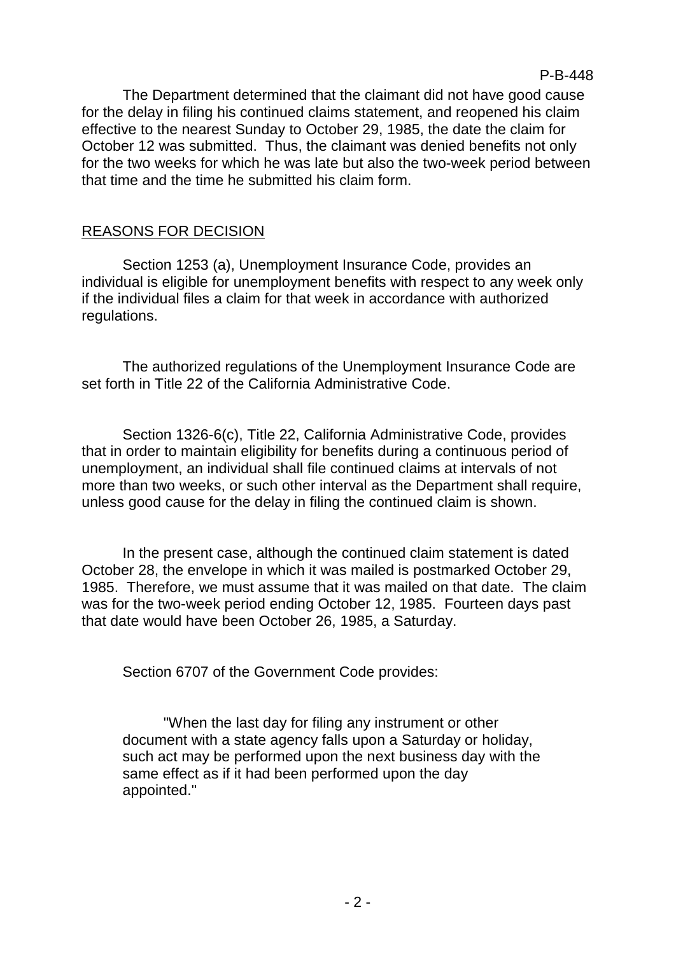The Department determined that the claimant did not have good cause for the delay in filing his continued claims statement, and reopened his claim effective to the nearest Sunday to October 29, 1985, the date the claim for October 12 was submitted. Thus, the claimant was denied benefits not only for the two weeks for which he was late but also the two-week period between that time and the time he submitted his claim form.

# REASONS FOR DECISION

Section 1253 (a), Unemployment Insurance Code, provides an individual is eligible for unemployment benefits with respect to any week only if the individual files a claim for that week in accordance with authorized regulations.

The authorized regulations of the Unemployment Insurance Code are set forth in Title 22 of the California Administrative Code.

Section 1326-6(c), Title 22, California Administrative Code, provides that in order to maintain eligibility for benefits during a continuous period of unemployment, an individual shall file continued claims at intervals of not more than two weeks, or such other interval as the Department shall require, unless good cause for the delay in filing the continued claim is shown.

In the present case, although the continued claim statement is dated October 28, the envelope in which it was mailed is postmarked October 29, 1985. Therefore, we must assume that it was mailed on that date. The claim was for the two-week period ending October 12, 1985. Fourteen days past that date would have been October 26, 1985, a Saturday.

Section 6707 of the Government Code provides:

"When the last day for filing any instrument or other document with a state agency falls upon a Saturday or holiday, such act may be performed upon the next business day with the same effect as if it had been performed upon the day appointed."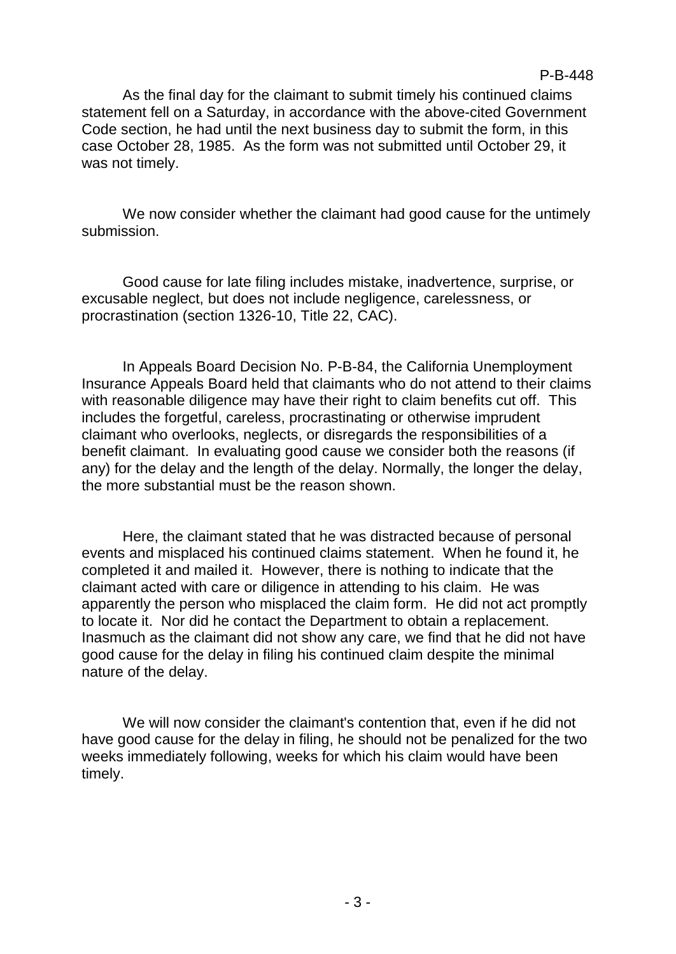#### P-B-448

As the final day for the claimant to submit timely his continued claims statement fell on a Saturday, in accordance with the above-cited Government Code section, he had until the next business day to submit the form, in this case October 28, 1985. As the form was not submitted until October 29, it was not timely.

We now consider whether the claimant had good cause for the untimely submission.

Good cause for late filing includes mistake, inadvertence, surprise, or excusable neglect, but does not include negligence, carelessness, or procrastination (section 1326-10, Title 22, CAC).

In Appeals Board Decision No. P-B-84, the California Unemployment Insurance Appeals Board held that claimants who do not attend to their claims with reasonable diligence may have their right to claim benefits cut off. This includes the forgetful, careless, procrastinating or otherwise imprudent claimant who overlooks, neglects, or disregards the responsibilities of a benefit claimant. In evaluating good cause we consider both the reasons (if any) for the delay and the length of the delay. Normally, the longer the delay, the more substantial must be the reason shown.

Here, the claimant stated that he was distracted because of personal events and misplaced his continued claims statement. When he found it, he completed it and mailed it. However, there is nothing to indicate that the claimant acted with care or diligence in attending to his claim. He was apparently the person who misplaced the claim form. He did not act promptly to locate it. Nor did he contact the Department to obtain a replacement. Inasmuch as the claimant did not show any care, we find that he did not have good cause for the delay in filing his continued claim despite the minimal nature of the delay.

We will now consider the claimant's contention that, even if he did not have good cause for the delay in filing, he should not be penalized for the two weeks immediately following, weeks for which his claim would have been timely.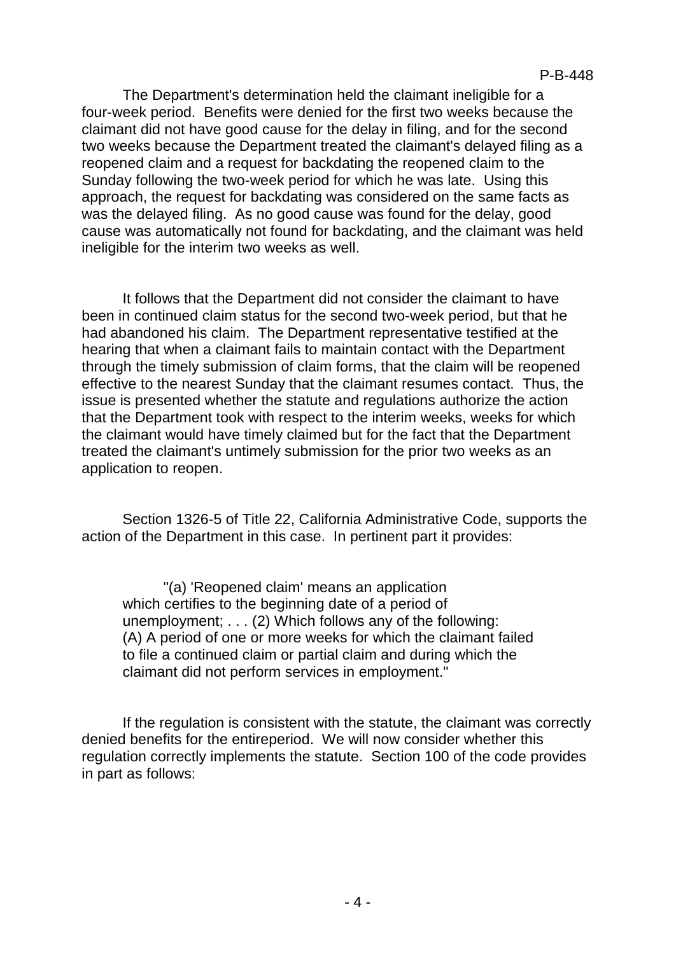The Department's determination held the claimant ineligible for a four-week period. Benefits were denied for the first two weeks because the claimant did not have good cause for the delay in filing, and for the second two weeks because the Department treated the claimant's delayed filing as a reopened claim and a request for backdating the reopened claim to the Sunday following the two-week period for which he was late. Using this approach, the request for backdating was considered on the same facts as was the delayed filing. As no good cause was found for the delay, good cause was automatically not found for backdating, and the claimant was held ineligible for the interim two weeks as well.

It follows that the Department did not consider the claimant to have been in continued claim status for the second two-week period, but that he had abandoned his claim. The Department representative testified at the hearing that when a claimant fails to maintain contact with the Department through the timely submission of claim forms, that the claim will be reopened effective to the nearest Sunday that the claimant resumes contact. Thus, the issue is presented whether the statute and regulations authorize the action that the Department took with respect to the interim weeks, weeks for which the claimant would have timely claimed but for the fact that the Department treated the claimant's untimely submission for the prior two weeks as an application to reopen.

Section 1326-5 of Title 22, California Administrative Code, supports the action of the Department in this case. In pertinent part it provides:

"(a) 'Reopened claim' means an application which certifies to the beginning date of a period of unemployment; . . . (2) Which follows any of the following: (A) A period of one or more weeks for which the claimant failed to file a continued claim or partial claim and during which the claimant did not perform services in employment."

If the regulation is consistent with the statute, the claimant was correctly denied benefits for the entireperiod. We will now consider whether this regulation correctly implements the statute. Section 100 of the code provides in part as follows: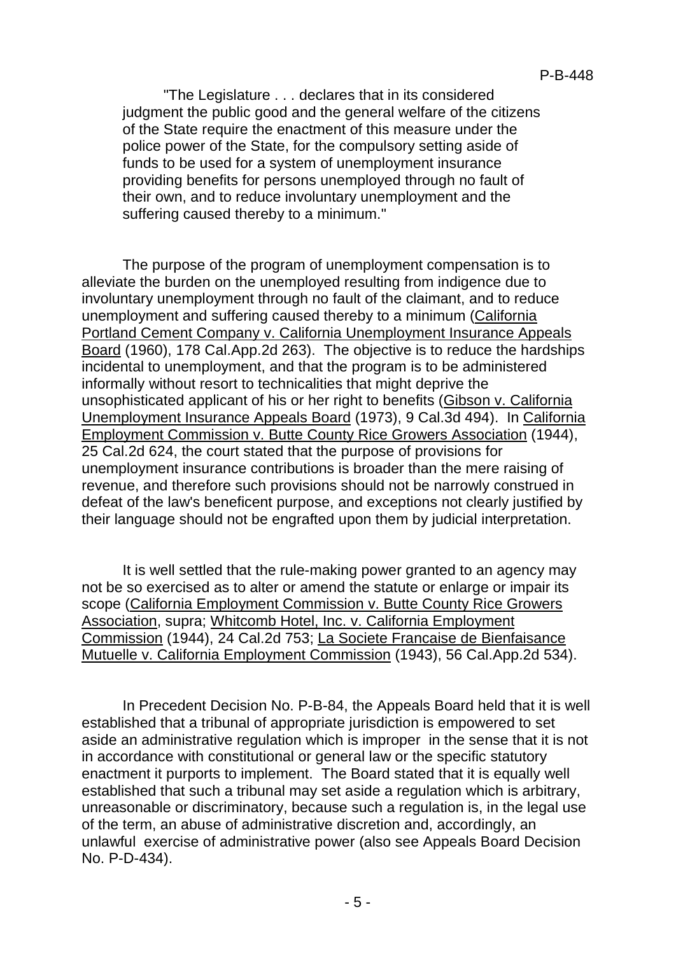"The Legislature . . . declares that in its considered judgment the public good and the general welfare of the citizens of the State require the enactment of this measure under the police power of the State, for the compulsory setting aside of funds to be used for a system of unemployment insurance providing benefits for persons unemployed through no fault of their own, and to reduce involuntary unemployment and the suffering caused thereby to a minimum."

The purpose of the program of unemployment compensation is to alleviate the burden on the unemployed resulting from indigence due to involuntary unemployment through no fault of the claimant, and to reduce unemployment and suffering caused thereby to a minimum (California Portland Cement Company v. California Unemployment Insurance Appeals Board (1960), 178 Cal.App.2d 263). The objective is to reduce the hardships incidental to unemployment, and that the program is to be administered informally without resort to technicalities that might deprive the unsophisticated applicant of his or her right to benefits (Gibson v. California Unemployment Insurance Appeals Board (1973), 9 Cal.3d 494). In California Employment Commission v. Butte County Rice Growers Association (1944), 25 Cal.2d 624, the court stated that the purpose of provisions for unemployment insurance contributions is broader than the mere raising of revenue, and therefore such provisions should not be narrowly construed in defeat of the law's beneficent purpose, and exceptions not clearly justified by their language should not be engrafted upon them by judicial interpretation.

It is well settled that the rule-making power granted to an agency may not be so exercised as to alter or amend the statute or enlarge or impair its scope (California Employment Commission v. Butte County Rice Growers Association, supra; Whitcomb Hotel, Inc. v. California Employment Commission (1944), 24 Cal.2d 753; La Societe Francaise de Bienfaisance Mutuelle v. California Employment Commission (1943), 56 Cal.App.2d 534).

In Precedent Decision No. P-B-84, the Appeals Board held that it is well established that a tribunal of appropriate jurisdiction is empowered to set aside an administrative regulation which is improper in the sense that it is not in accordance with constitutional or general law or the specific statutory enactment it purports to implement. The Board stated that it is equally well established that such a tribunal may set aside a regulation which is arbitrary, unreasonable or discriminatory, because such a regulation is, in the legal use of the term, an abuse of administrative discretion and, accordingly, an unlawful exercise of administrative power (also see Appeals Board Decision No. P-D-434).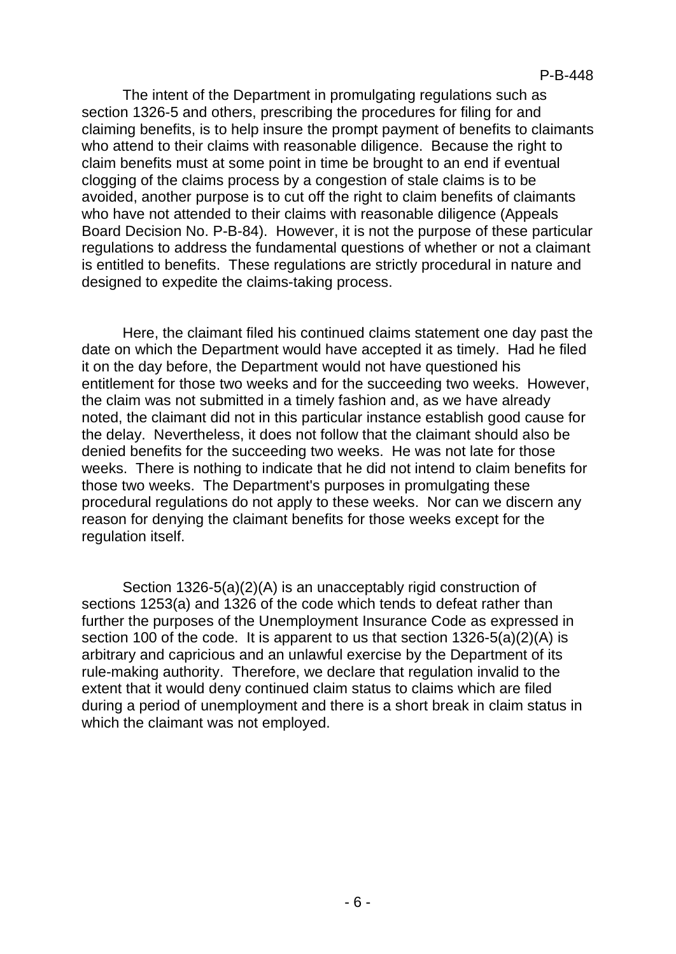The intent of the Department in promulgating regulations such as section 1326-5 and others, prescribing the procedures for filing for and claiming benefits, is to help insure the prompt payment of benefits to claimants who attend to their claims with reasonable diligence. Because the right to claim benefits must at some point in time be brought to an end if eventual clogging of the claims process by a congestion of stale claims is to be avoided, another purpose is to cut off the right to claim benefits of claimants who have not attended to their claims with reasonable diligence (Appeals Board Decision No. P-B-84). However, it is not the purpose of these particular regulations to address the fundamental questions of whether or not a claimant is entitled to benefits. These regulations are strictly procedural in nature and designed to expedite the claims-taking process.

Here, the claimant filed his continued claims statement one day past the date on which the Department would have accepted it as timely. Had he filed it on the day before, the Department would not have questioned his entitlement for those two weeks and for the succeeding two weeks. However, the claim was not submitted in a timely fashion and, as we have already noted, the claimant did not in this particular instance establish good cause for the delay. Nevertheless, it does not follow that the claimant should also be denied benefits for the succeeding two weeks. He was not late for those weeks. There is nothing to indicate that he did not intend to claim benefits for those two weeks. The Department's purposes in promulgating these procedural regulations do not apply to these weeks. Nor can we discern any reason for denying the claimant benefits for those weeks except for the regulation itself.

Section 1326-5(a)(2)(A) is an unacceptably rigid construction of sections 1253(a) and 1326 of the code which tends to defeat rather than further the purposes of the Unemployment Insurance Code as expressed in section 100 of the code. It is apparent to us that section 1326-5(a)(2)(A) is arbitrary and capricious and an unlawful exercise by the Department of its rule-making authority. Therefore, we declare that regulation invalid to the extent that it would deny continued claim status to claims which are filed during a period of unemployment and there is a short break in claim status in which the claimant was not employed.